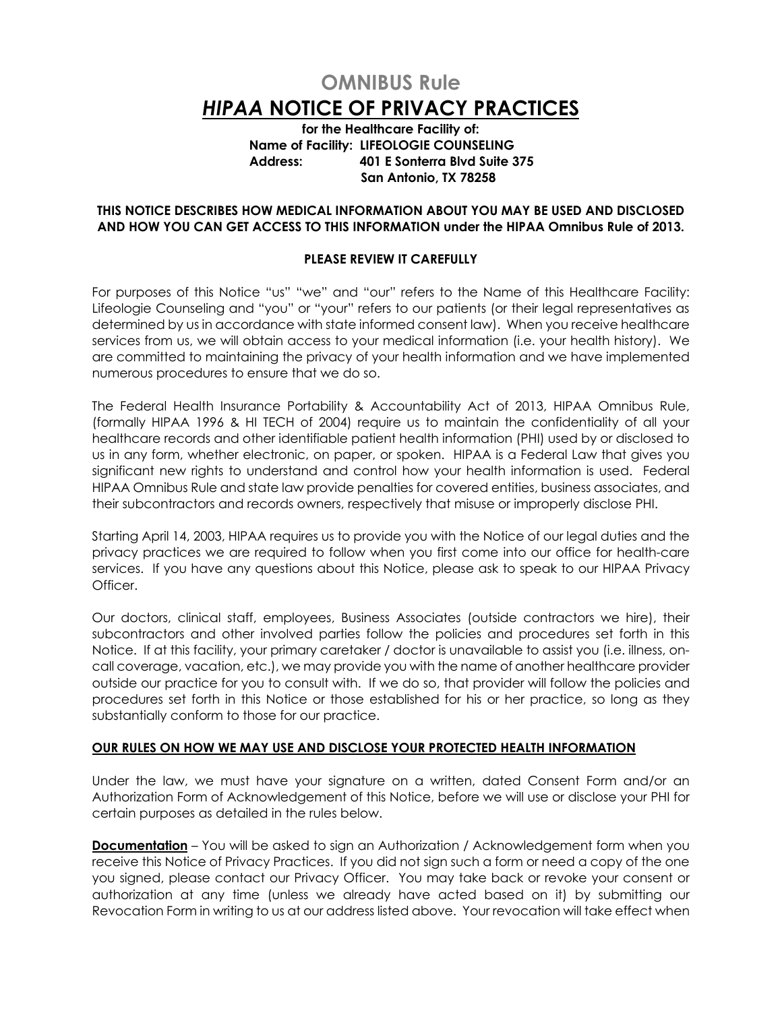# **OMNIBUS Rule**  *HIPAA* **NOTICE OF PRIVACY PRACTICES**

**for the Healthcare Facility of: Name of Facility: LIFEOLOGIE COUNSELING Address: 401 E Sonterra Blvd Suite 375 San Antonio, TX 78258**

#### **THIS NOTICE DESCRIBES HOW MEDICAL INFORMATION ABOUT YOU MAY BE USED AND DISCLOSED AND HOW YOU CAN GET ACCESS TO THIS INFORMATION under the HIPAA Omnibus Rule of 2013.**

## **PLEASE REVIEW IT CAREFULLY**

For purposes of this Notice "us" "we" and "our" refers to the Name of this Healthcare Facility: Lifeologie Counseling and "you" or "your" refers to our patients (or their legal representatives as determined by us in accordance with state informed consent law). When you receive healthcare services from us, we will obtain access to your medical information (i.e. your health history). We are committed to maintaining the privacy of your health information and we have implemented numerous procedures to ensure that we do so.

The Federal Health Insurance Portability & Accountability Act of 2013, HIPAA Omnibus Rule, (formally HIPAA 1996 & HI TECH of 2004) require us to maintain the confidentiality of all your healthcare records and other identifiable patient health information (PHI) used by or disclosed to us in any form, whether electronic, on paper, or spoken. HIPAA is a Federal Law that gives you significant new rights to understand and control how your health information is used. Federal HIPAA Omnibus Rule and state law provide penalties for covered entities, business associates, and their subcontractors and records owners, respectively that misuse or improperly disclose PHI.

Starting April 14, 2003, HIPAA requires us to provide you with the Notice of our legal duties and the privacy practices we are required to follow when you first come into our office for health-care services. If you have any questions about this Notice, please ask to speak to our HIPAA Privacy Officer.

Our doctors, clinical staff, employees, Business Associates (outside contractors we hire), their subcontractors and other involved parties follow the policies and procedures set forth in this Notice. If at this facility, your primary caretaker / doctor is unavailable to assist you (i.e. illness, oncall coverage, vacation, etc.), we may provide you with the name of another healthcare provider outside our practice for you to consult with. If we do so, that provider will follow the policies and procedures set forth in this Notice or those established for his or her practice, so long as they substantially conform to those for our practice.

#### **OUR RULES ON HOW WE MAY USE AND DISCLOSE YOUR PROTECTED HEALTH INFORMATION**

Under the law, we must have your signature on a written, dated Consent Form and/or an Authorization Form of Acknowledgement of this Notice, before we will use or disclose your PHI for certain purposes as detailed in the rules below.

**Documentation** – You will be asked to sign an Authorization / Acknowledgement form when you receive this Notice of Privacy Practices. If you did not sign such a form or need a copy of the one you signed, please contact our Privacy Officer. You may take back or revoke your consent or authorization at any time (unless we already have acted based on it) by submitting our Revocation Form in writing to us at our address listed above. Your revocation will take effect when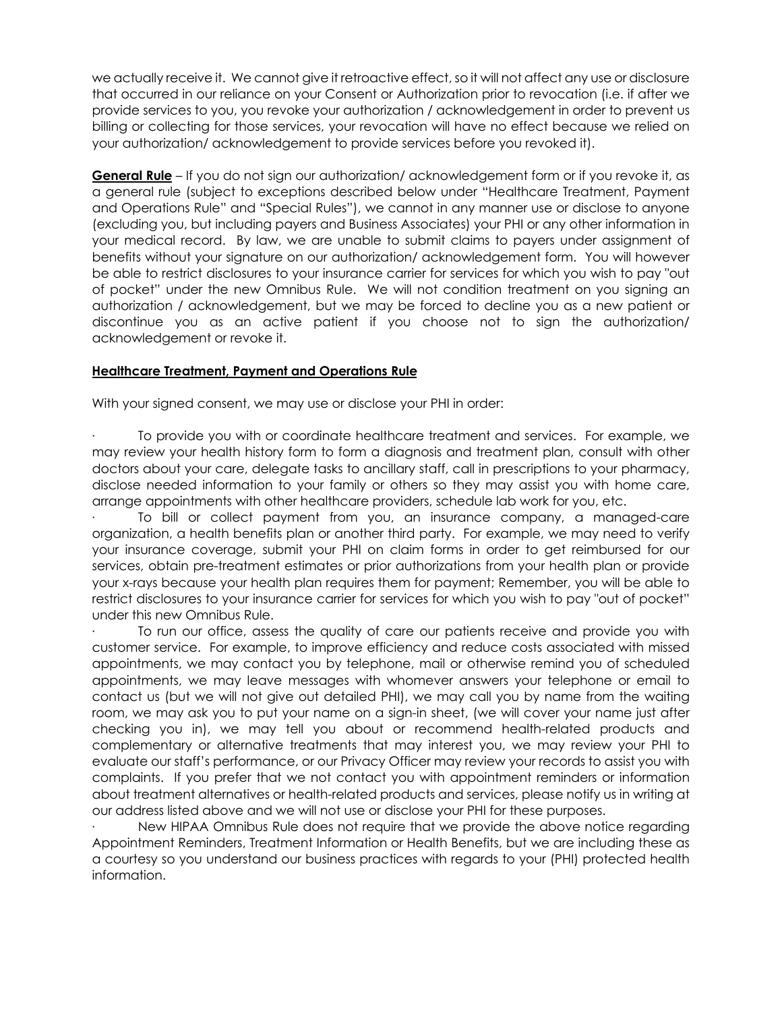we actually receive it. We cannot give it retroactive effect, so it will not affect any use or disclosure that occurred in our reliance on your Consent or Authorization prior to revocation (i.e. if after we provide services to you, you revoke your authorization / acknowledgement in order to prevent us billing or collecting for those services, your revocation will have no effect because we relied on your authorization/ acknowledgement to provide services before you revoked it).

**General Rule** – If you do not sign our authorization/ acknowledgement form or if you revoke it, as a general rule (subject to exceptions described below under "Healthcare Treatment, Payment and Operations Rule" and "Special Rules"), we cannot in any manner use or disclose to anyone (excluding you, but including payers and Business Associates) your PHI or any other information in your medical record. By law, we are unable to submit claims to payers under assignment of benefits without your signature on our authorization/ acknowledgement form. You will however be able to restrict disclosures to your insurance carrier for services for which you wish to pay "out of pocket" under the new Omnibus Rule. We will not condition treatment on you signing an authorization / acknowledgement, but we may be forced to decline you as a new patient or discontinue you as an active patient if you choose not to sign the authorization/ acknowledgement or revoke it.

## **Healthcare Treatment, Payment and Operations Rule**

With your signed consent, we may use or disclose your PHI in order:

· To provide you with or coordinate healthcare treatment and services. For example, we may review your health history form to form a diagnosis and treatment plan, consult with other doctors about your care, delegate tasks to ancillary staff, call in prescriptions to your pharmacy, disclose needed information to your family or others so they may assist you with home care, arrange appointments with other healthcare providers, schedule lab work for you, etc.

· To bill or collect payment from you, an insurance company, a managed-care organization, a health benefits plan or another third party. For example, we may need to verify your insurance coverage, submit your PHI on claim forms in order to get reimbursed for our services, obtain pre-treatment estimates or prior authorizations from your health plan or provide your x-rays because your health plan requires them for payment; Remember, you will be able to restrict disclosures to your insurance carrier for services for which you wish to pay "out of pocket" under this new Omnibus Rule.

To run our office, assess the quality of care our patients receive and provide you with customer service. For example, to improve efficiency and reduce costs associated with missed appointments, we may contact you by telephone, mail or otherwise remind you of scheduled appointments, we may leave messages with whomever answers your telephone or email to contact us (but we will not give out detailed PHI), we may call you by name from the waiting room, we may ask you to put your name on a sign-in sheet, (we will cover your name just after checking you in), we may tell you about or recommend health-related products and complementary or alternative treatments that may interest you, we may review your PHI to evaluate our staff's performance, or our Privacy Officer may review your records to assist you with complaints. If you prefer that we not contact you with appointment reminders or information about treatment alternatives or health-related products and services, please notify us in writing at our address listed above and we will not use or disclose your PHI for these purposes.

New HIPAA Omnibus Rule does not require that we provide the above notice regarding Appointment Reminders, Treatment Information or Health Benefits, but we are including these as a courtesy so you understand our business practices with regards to your (PHI) protected health information.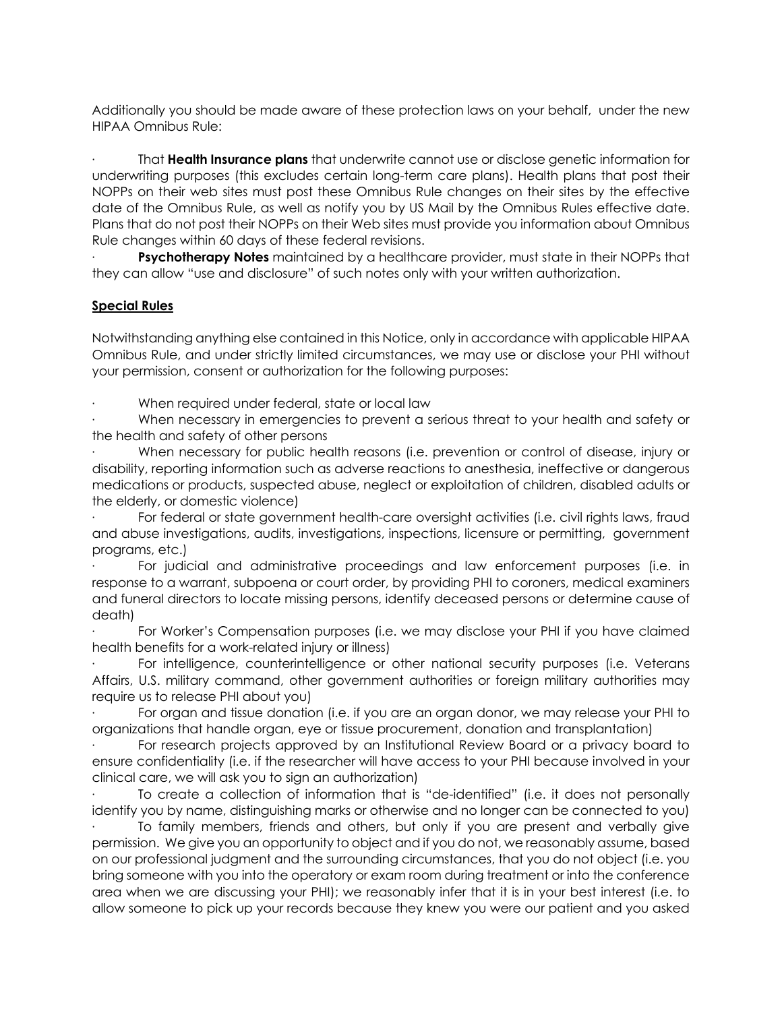Additionally you should be made aware of these protection laws on your behalf, under the new HIPAA Omnibus Rule:

· That **Health Insurance plans** that underwrite cannot use or disclose genetic information for underwriting purposes (this excludes certain long-term care plans). Health plans that post their NOPPs on their web sites must post these Omnibus Rule changes on their sites by the effective date of the Omnibus Rule, as well as notify you by US Mail by the Omnibus Rules effective date. Plans that do not post their NOPPs on their Web sites must provide you information about Omnibus Rule changes within 60 days of these federal revisions.

**Psychotherapy Notes** maintained by a healthcare provider, must state in their NOPPs that they can allow "use and disclosure" of such notes only with your written authorization.

## **Special Rules**

Notwithstanding anything else contained in this Notice, only in accordance with applicable HIPAA Omnibus Rule, and under strictly limited circumstances, we may use or disclose your PHI without your permission, consent or authorization for the following purposes:

When required under federal, state or local law

When necessary in emergencies to prevent a serious threat to your health and safety or the health and safety of other persons

When necessary for public health reasons (i.e. prevention or control of disease, injury or disability, reporting information such as adverse reactions to anesthesia, ineffective or dangerous medications or products, suspected abuse, neglect or exploitation of children, disabled adults or the elderly, or domestic violence)

For federal or state government health-care oversight activities (i.e. civil rights laws, fraud and abuse investigations, audits, investigations, inspections, licensure or permitting, government programs, etc.)

· For judicial and administrative proceedings and law enforcement purposes (i.e. in response to a warrant, subpoena or court order, by providing PHI to coroners, medical examiners and funeral directors to locate missing persons, identify deceased persons or determine cause of death)

For Worker's Compensation purposes (i.e. we may disclose your PHI if you have claimed health benefits for a work-related injury or illness)

For intelligence, counterintelligence or other national security purposes (i.e. Veterans Affairs, U.S. military command, other government authorities or foreign military authorities may require us to release PHI about you)

For organ and tissue donation (i.e. if you are an organ donor, we may release your PHI to organizations that handle organ, eye or tissue procurement, donation and transplantation)

· For research projects approved by an Institutional Review Board or a privacy board to ensure confidentiality (i.e. if the researcher will have access to your PHI because involved in your clinical care, we will ask you to sign an authorization)

· To create a collection of information that is "de-identified" (i.e. it does not personally identify you by name, distinguishing marks or otherwise and no longer can be connected to you)

To family members, friends and others, but only if you are present and verbally give permission. We give you an opportunity to object and if you do not, we reasonably assume, based on our professional judgment and the surrounding circumstances, that you do not object (i.e. you bring someone with you into the operatory or exam room during treatment or into the conference area when we are discussing your PHI); we reasonably infer that it is in your best interest (i.e. to allow someone to pick up your records because they knew you were our patient and you asked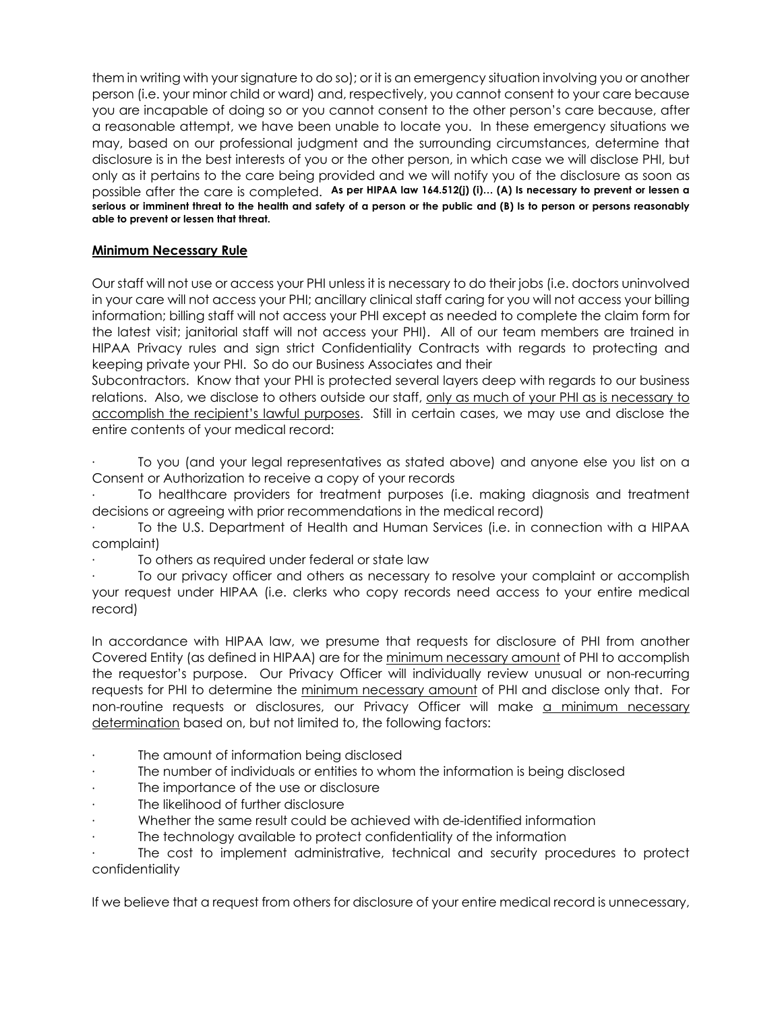them in writing with your signature to do so); or it is an emergency situation involving you or another person (i.e. your minor child or ward) and, respectively, you cannot consent to your care because you are incapable of doing so or you cannot consent to the other person's care because, after a reasonable attempt, we have been unable to locate you. In these emergency situations we may, based on our professional judgment and the surrounding circumstances, determine that disclosure is in the best interests of you or the other person, in which case we will disclose PHI, but only as it pertains to the care being provided and we will notify you of the disclosure as soon as possible after the care is completed. **As per HIPAA law 164.512(j) (i)… (A) Is necessary to prevent or lessen a serious or imminent threat to the health and safety of a person or the public and (B) Is to person or persons reasonably able to prevent or lessen that threat.**

# **Minimum Necessary Rule**

Our staff will not use or access your PHI unless it is necessary to do their jobs (i.e. doctors uninvolved in your care will not access your PHI; ancillary clinical staff caring for you will not access your billing information; billing staff will not access your PHI except as needed to complete the claim form for the latest visit; janitorial staff will not access your PHI). All of our team members are trained in HIPAA Privacy rules and sign strict Confidentiality Contracts with regards to protecting and keeping private your PHI. So do our Business Associates and their

Subcontractors. Know that your PHI is protected several layers deep with regards to our business relations. Also, we disclose to others outside our staff, only as much of your PHI as is necessary to accomplish the recipient's lawful purposes. Still in certain cases, we may use and disclose the entire contents of your medical record:

· To you (and your legal representatives as stated above) and anyone else you list on a Consent or Authorization to receive a copy of your records

· To healthcare providers for treatment purposes (i.e. making diagnosis and treatment decisions or agreeing with prior recommendations in the medical record)

To the U.S. Department of Health and Human Services (i.e. in connection with a HIPAA complaint)

To others as required under federal or state law

· To our privacy officer and others as necessary to resolve your complaint or accomplish your request under HIPAA (i.e. clerks who copy records need access to your entire medical record)

In accordance with HIPAA law, we presume that requests for disclosure of PHI from another Covered Entity (as defined in HIPAA) are for the minimum necessary amount of PHI to accomplish the requestor's purpose. Our Privacy Officer will individually review unusual or non-recurring requests for PHI to determine the minimum necessary amount of PHI and disclose only that. For non-routine requests or disclosures, our Privacy Officer will make a minimum necessary determination based on, but not limited to, the following factors:

- The amount of information being disclosed
- The number of individuals or entities to whom the information is being disclosed
- The importance of the use or disclosure
- The likelihood of further disclosure
- · Whether the same result could be achieved with de-identified information
- The technology available to protect confidentiality of the information

The cost to implement administrative, technical and security procedures to protect confidentiality

If we believe that a request from others for disclosure of your entire medical record is unnecessary,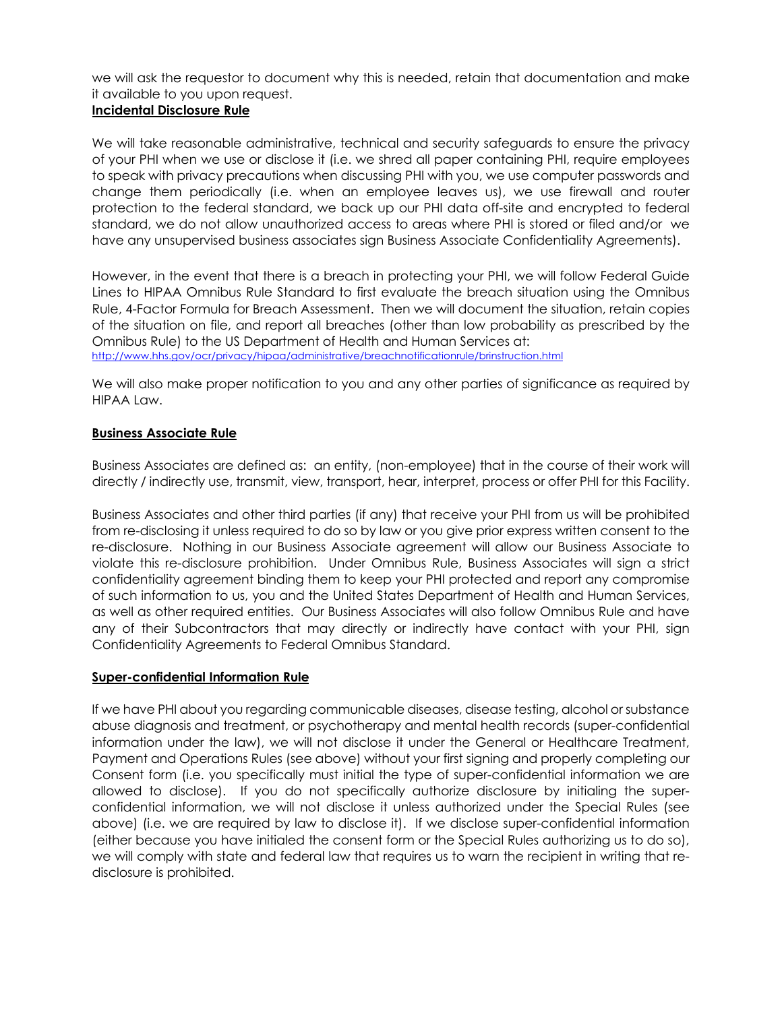we will ask the requestor to document why this is needed, retain that documentation and make it available to you upon request.

## **Incidental Disclosure Rule**

We will take reasonable administrative, technical and security safeguards to ensure the privacy of your PHI when we use or disclose it (i.e. we shred all paper containing PHI, require employees to speak with privacy precautions when discussing PHI with you, we use computer passwords and change them periodically (i.e. when an employee leaves us), we use firewall and router protection to the federal standard, we back up our PHI data off-site and encrypted to federal standard, we do not allow unauthorized access to areas where PHI is stored or filed and/or we have any unsupervised business associates sign Business Associate Confidentiality Agreements).

However, in the event that there is a breach in protecting your PHI, we will follow Federal Guide Lines to HIPAA Omnibus Rule Standard to first evaluate the breach situation using the Omnibus Rule, 4-Factor Formula for Breach Assessment. Then we will document the situation, retain copies of the situation on file, and report all breaches (other than low probability as prescribed by the Omnibus Rule) to the US Department of Health and Human Services at: http://www.hhs.gov/ocr/privacy/hipaa/administrative/breachnotificationrule/brinstruction.html

We will also make proper notification to you and any other parties of significance as required by HIPAA Law.

#### **Business Associate Rule**

Business Associates are defined as: an entity, (non-employee) that in the course of their work will directly / indirectly use, transmit, view, transport, hear, interpret, process or offer PHI for this Facility.

Business Associates and other third parties (if any) that receive your PHI from us will be prohibited from re-disclosing it unless required to do so by law or you give prior express written consent to the re-disclosure. Nothing in our Business Associate agreement will allow our Business Associate to violate this re-disclosure prohibition. Under Omnibus Rule, Business Associates will sign a strict confidentiality agreement binding them to keep your PHI protected and report any compromise of such information to us, you and the United States Department of Health and Human Services, as well as other required entities. Our Business Associates will also follow Omnibus Rule and have any of their Subcontractors that may directly or indirectly have contact with your PHI, sign Confidentiality Agreements to Federal Omnibus Standard.

#### **Super-confidential Information Rule**

If we have PHI about you regarding communicable diseases, disease testing, alcohol or substance abuse diagnosis and treatment, or psychotherapy and mental health records (super-confidential information under the law), we will not disclose it under the General or Healthcare Treatment, Payment and Operations Rules (see above) without your first signing and properly completing our Consent form (i.e. you specifically must initial the type of super-confidential information we are allowed to disclose). If you do not specifically authorize disclosure by initialing the superconfidential information, we will not disclose it unless authorized under the Special Rules (see above) (i.e. we are required by law to disclose it). If we disclose super-confidential information (either because you have initialed the consent form or the Special Rules authorizing us to do so), we will comply with state and federal law that requires us to warn the recipient in writing that redisclosure is prohibited.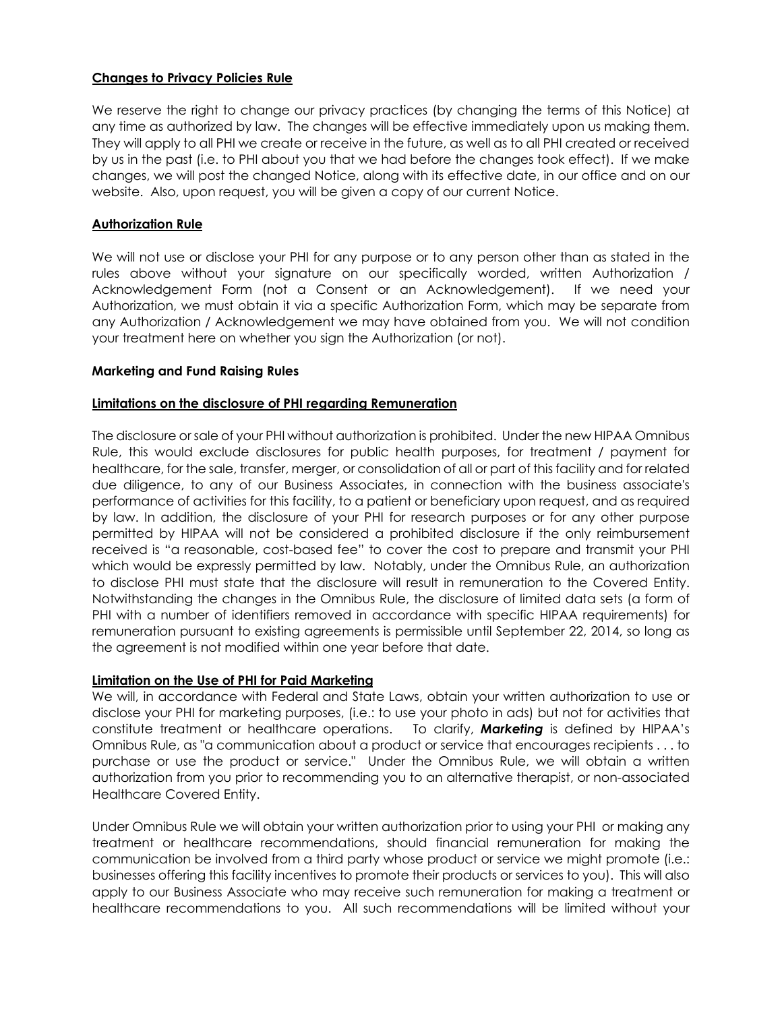## **Changes to Privacy Policies Rule**

We reserve the right to change our privacy practices (by changing the terms of this Notice) at any time as authorized by law. The changes will be effective immediately upon us making them. They will apply to all PHI we create or receive in the future, as well as to all PHI created or received by us in the past (i.e. to PHI about you that we had before the changes took effect). If we make changes, we will post the changed Notice, along with its effective date, in our office and on our website. Also, upon request, you will be given a copy of our current Notice.

#### **Authorization Rule**

We will not use or disclose your PHI for any purpose or to any person other than as stated in the rules above without your signature on our specifically worded, written Authorization / Acknowledgement Form (not a Consent or an Acknowledgement). If we need your Authorization, we must obtain it via a specific Authorization Form, which may be separate from any Authorization / Acknowledgement we may have obtained from you. We will not condition your treatment here on whether you sign the Authorization (or not).

#### **Marketing and Fund Raising Rules**

#### **Limitations on the disclosure of PHI regarding Remuneration**

The disclosure or sale of your PHI without authorization is prohibited. Under the new HIPAA Omnibus Rule, this would exclude disclosures for public health purposes, for treatment / payment for healthcare, for the sale, transfer, merger, or consolidation of all or part of this facility and for related due diligence, to any of our Business Associates, in connection with the business associate's performance of activities for this facility, to a patient or beneficiary upon request, and as required by law. In addition, the disclosure of your PHI for research purposes or for any other purpose permitted by HIPAA will not be considered a prohibited disclosure if the only reimbursement received is "a reasonable, cost-based fee" to cover the cost to prepare and transmit your PHI which would be expressly permitted by law. Notably, under the Omnibus Rule, an authorization to disclose PHI must state that the disclosure will result in remuneration to the Covered Entity. Notwithstanding the changes in the Omnibus Rule, the disclosure of limited data sets (a form of PHI with a number of identifiers removed in accordance with specific HIPAA requirements) for remuneration pursuant to existing agreements is permissible until September 22, 2014, so long as the agreement is not modified within one year before that date.

#### **Limitation on the Use of PHI for Paid Marketing**

We will, in accordance with Federal and State Laws, obtain your written authorization to use or disclose your PHI for marketing purposes, (i.e.: to use your photo in ads) but not for activities that constitute treatment or healthcare operations. To clarify, *Marketing* is defined by HIPAA's Omnibus Rule, as "a communication about a product or service that encourages recipients . . . to purchase or use the product or service." Under the Omnibus Rule, we will obtain a written authorization from you prior to recommending you to an alternative therapist, or non-associated Healthcare Covered Entity.

Under Omnibus Rule we will obtain your written authorization prior to using your PHI or making any treatment or healthcare recommendations, should financial remuneration for making the communication be involved from a third party whose product or service we might promote (i.e.: businesses offering this facility incentives to promote their products or services to you). This will also apply to our Business Associate who may receive such remuneration for making a treatment or healthcare recommendations to you. All such recommendations will be limited without your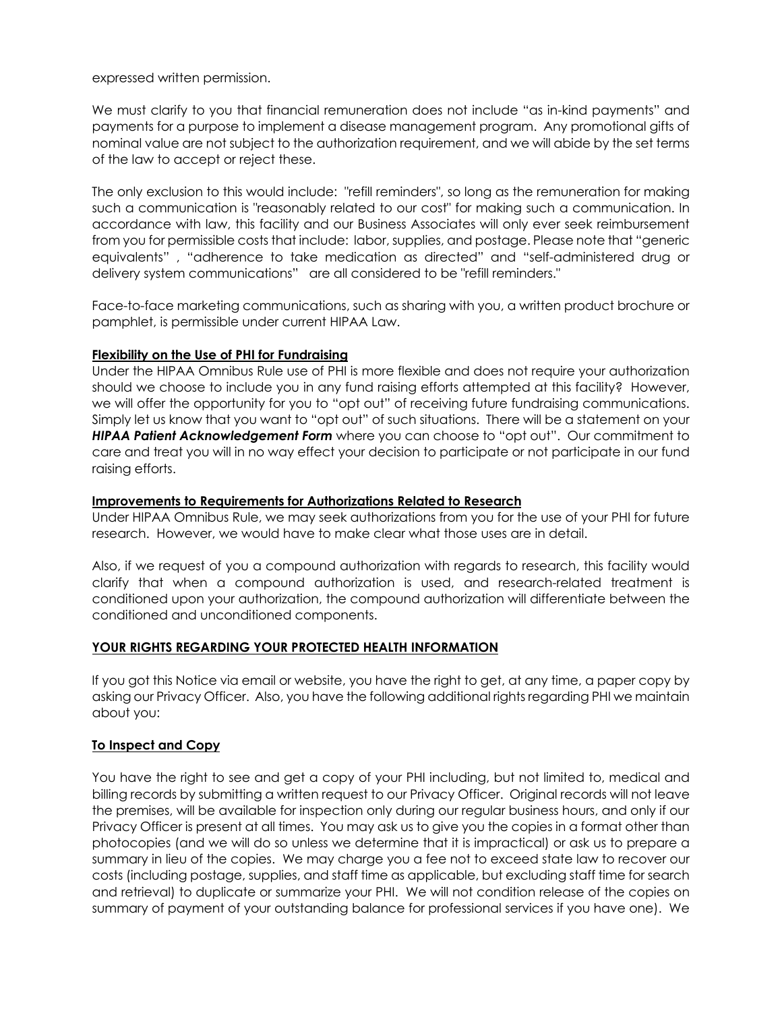expressed written permission.

We must clarify to you that financial remuneration does not include "as in-kind payments" and payments for a purpose to implement a disease management program. Any promotional gifts of nominal value are not subject to the authorization requirement, and we will abide by the set terms of the law to accept or reject these.

The only exclusion to this would include: "refill reminders", so long as the remuneration for making such a communication is "reasonably related to our cost" for making such a communication. In accordance with law, this facility and our Business Associates will only ever seek reimbursement from you for permissible costs that include: labor, supplies, and postage. Please note that "generic equivalents" , "adherence to take medication as directed" and "self-administered drug or delivery system communications" are all considered to be "refill reminders."

Face-to-face marketing communications, such as sharing with you, a written product brochure or pamphlet, is permissible under current HIPAA Law.

#### **Flexibility on the Use of PHI for Fundraising**

Under the HIPAA Omnibus Rule use of PHI is more flexible and does not require your authorization should we choose to include you in any fund raising efforts attempted at this facility? However, we will offer the opportunity for you to "opt out" of receiving future fundraising communications. Simply let us know that you want to "opt out" of such situations. There will be a statement on your *HIPAA Patient Acknowledgement Form* where you can choose to "opt out". Our commitment to care and treat you will in no way effect your decision to participate or not participate in our fund raising efforts.

#### **Improvements to Requirements for Authorizations Related to Research**

Under HIPAA Omnibus Rule, we may seek authorizations from you for the use of your PHI for future research. However, we would have to make clear what those uses are in detail.

Also, if we request of you a compound authorization with regards to research, this facility would clarify that when a compound authorization is used, and research-related treatment is conditioned upon your authorization, the compound authorization will differentiate between the conditioned and unconditioned components.

#### **YOUR RIGHTS REGARDING YOUR PROTECTED HEALTH INFORMATION**

If you got this Notice via email or website, you have the right to get, at any time, a paper copy by asking our Privacy Officer. Also, you have the following additional rights regarding PHI we maintain about you:

# **To Inspect and Copy**

You have the right to see and get a copy of your PHI including, but not limited to, medical and billing records by submitting a written request to our Privacy Officer. Original records will not leave the premises, will be available for inspection only during our regular business hours, and only if our Privacy Officer is present at all times. You may ask us to give you the copies in a format other than photocopies (and we will do so unless we determine that it is impractical) or ask us to prepare a summary in lieu of the copies. We may charge you a fee not to exceed state law to recover our costs (including postage, supplies, and staff time as applicable, but excluding staff time for search and retrieval) to duplicate or summarize your PHI. We will not condition release of the copies on summary of payment of your outstanding balance for professional services if you have one). We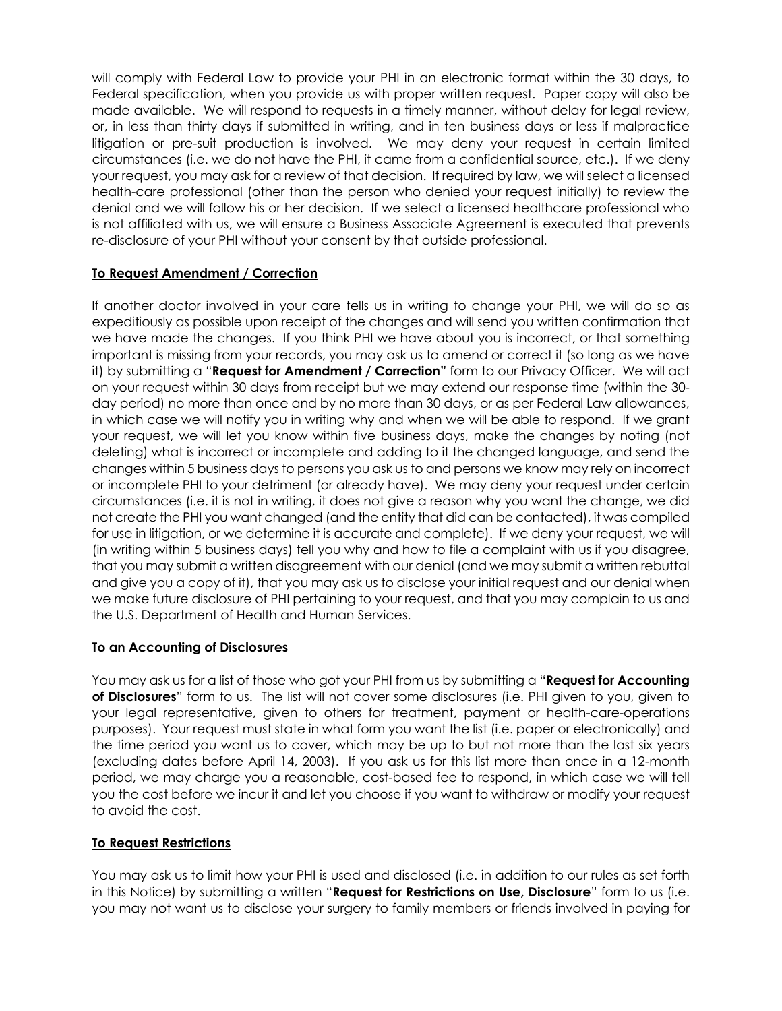will comply with Federal Law to provide your PHI in an electronic format within the 30 days, to Federal specification, when you provide us with proper written request. Paper copy will also be made available. We will respond to requests in a timely manner, without delay for legal review, or, in less than thirty days if submitted in writing, and in ten business days or less if malpractice litigation or pre-suit production is involved. We may deny your request in certain limited circumstances (i.e. we do not have the PHI, it came from a confidential source, etc.). If we deny your request, you may ask for a review of that decision. If required by law, we will select a licensed health-care professional (other than the person who denied your request initially) to review the denial and we will follow his or her decision. If we select a licensed healthcare professional who is not affiliated with us, we will ensure a Business Associate Agreement is executed that prevents re-disclosure of your PHI without your consent by that outside professional.

# **To Request Amendment / Correction**

If another doctor involved in your care tells us in writing to change your PHI, we will do so as expeditiously as possible upon receipt of the changes and will send you written confirmation that we have made the changes. If you think PHI we have about you is incorrect, or that something important is missing from your records, you may ask us to amend or correct it (so long as we have it) by submitting a "**Request for Amendment / Correction"** form to our Privacy Officer. We will act on your request within 30 days from receipt but we may extend our response time (within the 30 day period) no more than once and by no more than 30 days, or as per Federal Law allowances, in which case we will notify you in writing why and when we will be able to respond. If we grant your request, we will let you know within five business days, make the changes by noting (not deleting) what is incorrect or incomplete and adding to it the changed language, and send the changes within 5 business days to persons you ask us to and persons we know may rely on incorrect or incomplete PHI to your detriment (or already have). We may deny your request under certain circumstances (i.e. it is not in writing, it does not give a reason why you want the change, we did not create the PHI you want changed (and the entity that did can be contacted), it was compiled for use in litigation, or we determine it is accurate and complete). If we deny your request, we will (in writing within 5 business days) tell you why and how to file a complaint with us if you disagree, that you may submit a written disagreement with our denial (and we may submit a written rebuttal and give you a copy of it), that you may ask us to disclose your initial request and our denial when we make future disclosure of PHI pertaining to your request, and that you may complain to us and the U.S. Department of Health and Human Services.

#### **To an Accounting of Disclosures**

You may ask us for a list of those who got your PHI from us by submitting a "**Request for Accounting of Disclosures**" form to us. The list will not cover some disclosures (i.e. PHI given to you, given to your legal representative, given to others for treatment, payment or health-care-operations purposes). Your request must state in what form you want the list (i.e. paper or electronically) and the time period you want us to cover, which may be up to but not more than the last six years (excluding dates before April 14, 2003). If you ask us for this list more than once in a 12-month period, we may charge you a reasonable, cost-based fee to respond, in which case we will tell you the cost before we incur it and let you choose if you want to withdraw or modify your request to avoid the cost.

#### **To Request Restrictions**

You may ask us to limit how your PHI is used and disclosed (i.e. in addition to our rules as set forth in this Notice) by submitting a written "**Request for Restrictions on Use, Disclosure**" form to us (i.e. you may not want us to disclose your surgery to family members or friends involved in paying for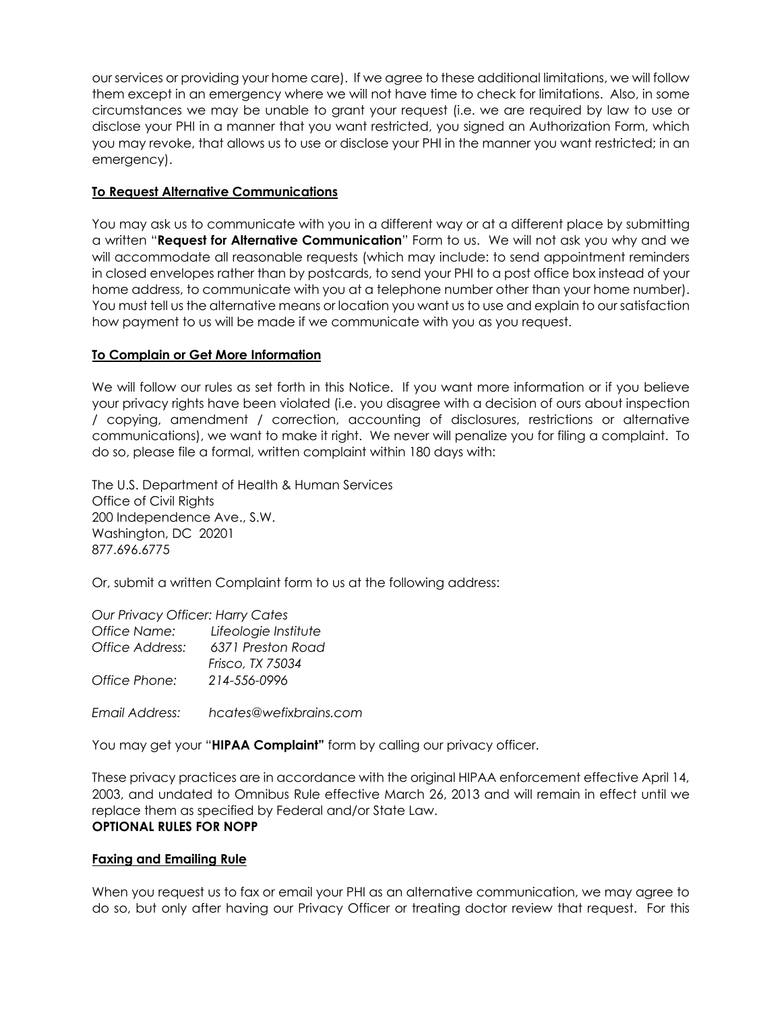our services or providing your home care). If we agree to these additional limitations, we will follow them except in an emergency where we will not have time to check for limitations. Also, in some circumstances we may be unable to grant your request (i.e. we are required by law to use or disclose your PHI in a manner that you want restricted, you signed an Authorization Form, which you may revoke, that allows us to use or disclose your PHI in the manner you want restricted; in an emergency).

## **To Request Alternative Communications**

You may ask us to communicate with you in a different way or at a different place by submitting a written "**Request for Alternative Communication**" Form to us. We will not ask you why and we will accommodate all reasonable requests (which may include: to send appointment reminders in closed envelopes rather than by postcards, to send your PHI to a post office box instead of your home address, to communicate with you at a telephone number other than your home number). You must tell us the alternative means or location you want us to use and explain to our satisfaction how payment to us will be made if we communicate with you as you request.

# **To Complain or Get More Information**

We will follow our rules as set forth in this Notice. If you want more information or if you believe your privacy rights have been violated (i.e. you disagree with a decision of ours about inspection / copying, amendment / correction, accounting of disclosures, restrictions or alternative communications), we want to make it right. We never will penalize you for filing a complaint. To do so, please file a formal, written complaint within 180 days with:

The U.S. Department of Health & Human Services Office of Civil Rights 200 Independence Ave., S.W. Washington, DC 20201 877.696.6775

Or, submit a written Complaint form to us at the following address:

#### *Our Privacy Officer: Harry Cates*

| Office Name:    | Lifeologie Institute             |
|-----------------|----------------------------------|
| Office Address: | 6371 Preston Road                |
| Office Phone:   | Frisco, TX 75034<br>214-556-0996 |
| Email Address:  | hcates@wefixbrains.com           |

You may get your "**HIPAA Complaint"** form by calling our privacy officer.

These privacy practices are in accordance with the original HIPAA enforcement effective April 14, 2003, and undated to Omnibus Rule effective March 26, 2013 and will remain in effect until we replace them as specified by Federal and/or State Law. **OPTIONAL RULES FOR NOPP**

#### **Faxing and Emailing Rule**

When you request us to fax or email your PHI as an alternative communication, we may agree to do so, but only after having our Privacy Officer or treating doctor review that request. For this